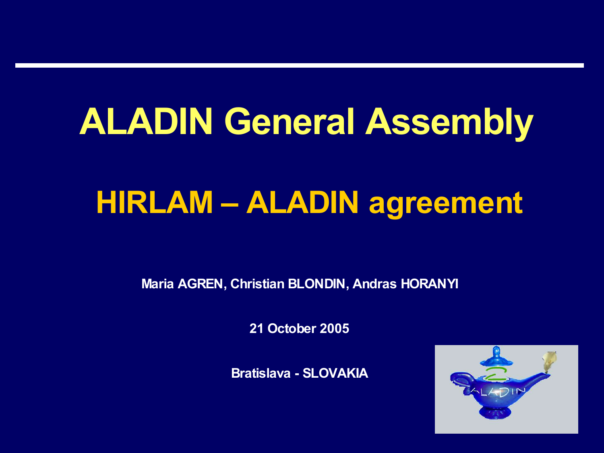# **HIRLAM – ALADIN agreement ALADIN General Assembly**

**Maria AGREN, Christian BLONDIN, Andras HORANYI**

**21 October 2005**

**Bratislava - SLOVAKIA**

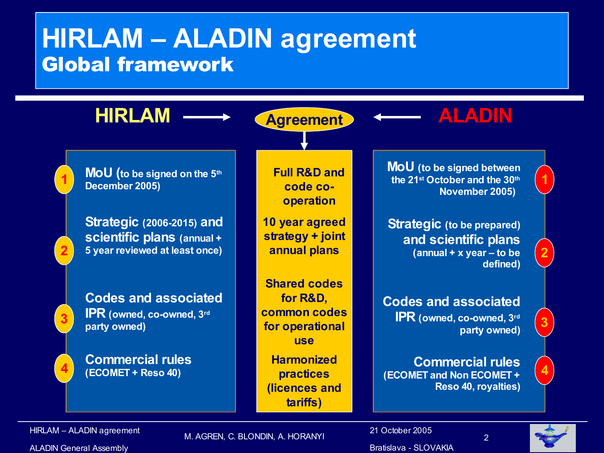### **HIRLAM – ALADIN agreement** Global framework



HIRLAM – ALADIN agreement

M. AGREN, C. BLONDIN, A. HORANYI

Bratislava - SLOVAKIA

2

ALADIN General Assembly